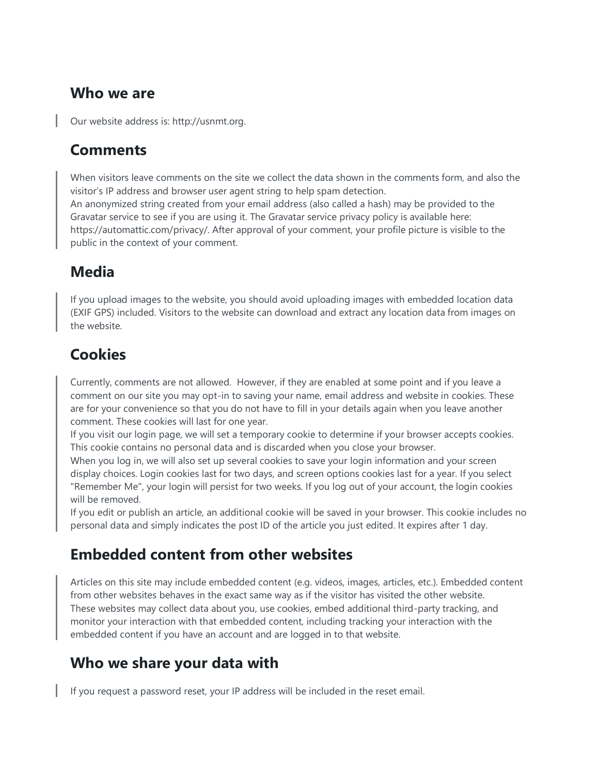#### **Who we are**

Our website address is: http://usnmt.org.

### **Comments**

When visitors leave comments on the site we collect the data shown in the comments form, and also the visitor's IP address and browser user agent string to help spam detection. An anonymized string created from your email address (also called a hash) may be provided to the Gravatar service to see if you are using it. The Gravatar service privacy policy is available here: https://automattic.com/privacy/. After approval of your comment, your profile picture is visible to the public in the context of your comment.

# **Media**

If you upload images to the website, you should avoid uploading images with embedded location data (EXIF GPS) included. Visitors to the website can download and extract any location data from images on the website.

# **Cookies**

Currently, comments are not allowed. However, if they are enabled at some point and if you leave a comment on our site you may opt-in to saving your name, email address and website in cookies. These are for your convenience so that you do not have to fill in your details again when you leave another comment. These cookies will last for one year.

If you visit our login page, we will set a temporary cookie to determine if your browser accepts cookies. This cookie contains no personal data and is discarded when you close your browser.

When you log in, we will also set up several cookies to save your login information and your screen display choices. Login cookies last for two days, and screen options cookies last for a year. If you select "Remember Me", your login will persist for two weeks. If you log out of your account, the login cookies will be removed.

If you edit or publish an article, an additional cookie will be saved in your browser. This cookie includes no personal data and simply indicates the post ID of the article you just edited. It expires after 1 day.

## **Embedded content from other websites**

Articles on this site may include embedded content (e.g. videos, images, articles, etc.). Embedded content from other websites behaves in the exact same way as if the visitor has visited the other website. These websites may collect data about you, use cookies, embed additional third-party tracking, and monitor your interaction with that embedded content, including tracking your interaction with the embedded content if you have an account and are logged in to that website.

## **Who we share your data with**

If you request a password reset, your IP address will be included in the reset email.